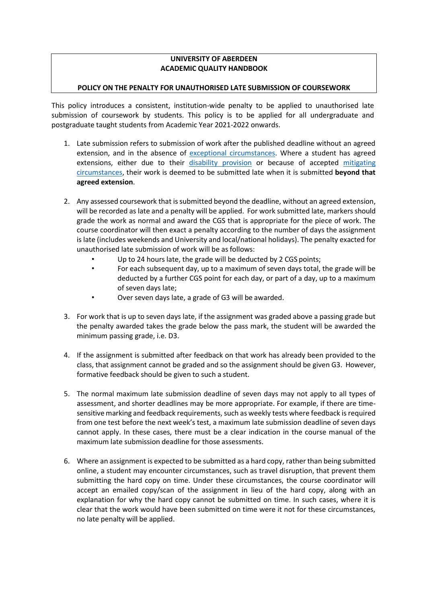# **UNIVERSITY OF ABERDEEN ACADEMIC QUALITY HANDBOOK**

## **POLICY ON THE PENALTY FOR UNAUTHORISED LATE SUBMISSION OF COURSEWORK**

This policy introduces a consistent, institution-wide penalty to be applied to unauthorised late submission of coursework by students. This policy is to be applied for all undergraduate and postgraduate taught students from Academic Year 2021-2022 onwards.

- 1. Late submission refers to submission of work after the published deadline without an agreed extension, and in the absence of [exceptional circumstances.](https://www.abdn.ac.uk/staffnet/documents/academic-quality-handbook/Policy%20-%20Student%20Absence.pdf) Where a student has agreed extensions, either due to their disability [provision](https://www.abdn.ac.uk/students/support/disability-services-3395.php) or because of accepted [mitigating](https://www.abdn.ac.uk/students/academic-life/assessment-exams-3377.php#panel1957) [circumstances, t](https://www.abdn.ac.uk/students/academic-life/assessment-exams-3377.php#panel1957)heir work is deemed to be submitted late when it is submitted **beyond that agreed extension**.
- 2. Any assessed coursework that is submitted beyond the deadline, without an agreed extension, will be recorded as late and a penalty will be applied. For work submitted late, markers should grade the work as normal and award the CGS that is appropriate for the piece of work. The course coordinator will then exact a penalty according to the number of days the assignment is late (includes weekends and University and local/national holidays). The penalty exacted for unauthorised late submission of work will be as follows:
	- Up to 24 hours late, the grade will be deducted by 2 CGS points;
	- For each subsequent day, up to a maximum of seven days total, the grade will be deducted by a further CGS point for each day, or part of a day, up to a maximum of seven days late;
	- Over seven days late, a grade of G3 will be awarded.
- 3. For work that is up to seven days late, if the assignment was graded above a passing grade but the penalty awarded takes the grade below the pass mark, the student will be awarded the minimum passing grade, i.e. D3.
- 4. If the assignment is submitted after feedback on that work has already been provided to the class, that assignment cannot be graded and so the assignment should be given G3. However, formative feedback should be given to such a student.
- 5. The normal maximum late submission deadline of seven days may not apply to all types of assessment, and shorter deadlines may be more appropriate. For example, if there are timesensitive marking and feedback requirements, such as weekly tests where feedback is required from one test before the next week's test, a maximum late submission deadline of seven days cannot apply. In these cases, there must be a clear indication in the course manual of the maximum late submission deadline for those assessments.
- 6. Where an assignment is expected to be submitted as a hard copy, rather than being submitted online, a student may encounter circumstances, such as travel disruption, that prevent them submitting the hard copy on time. Under these circumstances, the course coordinator will accept an emailed copy/scan of the assignment in lieu of the hard copy, along with an explanation for why the hard copy cannot be submitted on time. In such cases, where it is clear that the work would have been submitted on time were it not for these circumstances, no late penalty will be applied.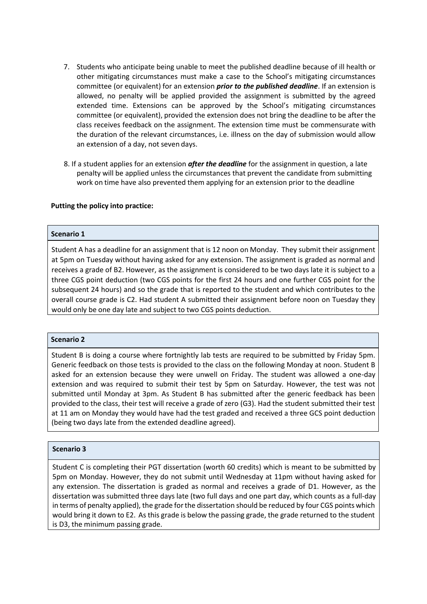- 7. Students who anticipate being unable to meet the published deadline because of ill health or other mitigating circumstances must make a case to the School's mitigating circumstances committee (or equivalent) for an extension *prior to the published deadline*. If an extension is allowed, no penalty will be applied provided the assignment is submitted by the agreed extended time. Extensions can be approved by the School's mitigating circumstances committee (or equivalent), provided the extension does not bring the deadline to be after the class receives feedback on the assignment. The extension time must be commensurate with the duration of the relevant circumstances, i.e. illness on the day of submission would allow an extension of a day, not seven days.
- 8. If a student applies for an extension *after the deadline* for the assignment in question, a late penalty will be applied unless the circumstances that prevent the candidate from submitting work on time have also prevented them applying for an extension prior to the deadline

### **Putting the policy into practice:**

### **Scenario 1**

Student A has a deadline for an assignment that is 12 noon on Monday. They submit their assignment at 5pm on Tuesday without having asked for any extension. The assignment is graded as normal and receives a grade of B2. However, as the assignment is considered to be two days late it is subject to a three CGS point deduction (two CGS points for the first 24 hours and one further CGS point for the subsequent 24 hours) and so the grade that is reported to the student and which contributes to the overall course grade is C2. Had student A submitted their assignment before noon on Tuesday they would only be one day late and subject to two CGS points deduction.

#### **Scenario 2**

Student B is doing a course where fortnightly lab tests are required to be submitted by Friday 5pm. Generic feedback on those tests is provided to the class on the following Monday at noon. Student B asked for an extension because they were unwell on Friday. The student was allowed a one-day extension and was required to submit their test by 5pm on Saturday. However, the test was not submitted until Monday at 3pm. As Student B has submitted after the generic feedback has been provided to the class, their test will receive a grade of zero (G3). Had the student submitted their test at 11 am on Monday they would have had the test graded and received a three GCS point deduction (being two days late from the extended deadline agreed).

#### **Scenario 3**

Student C is completing their PGT dissertation (worth 60 credits) which is meant to be submitted by 5pm on Monday. However, they do not submit until Wednesday at 11pm without having asked for any extension. The dissertation is graded as normal and receives a grade of D1. However, as the dissertation was submitted three days late (two full days and one part day, which counts as a full-day in terms of penalty applied), the grade forthe dissertation should be reduced by four CGS points which would bring it down to E2. As this grade is below the passing grade, the grade returned to the student is D3, the minimum passing grade.